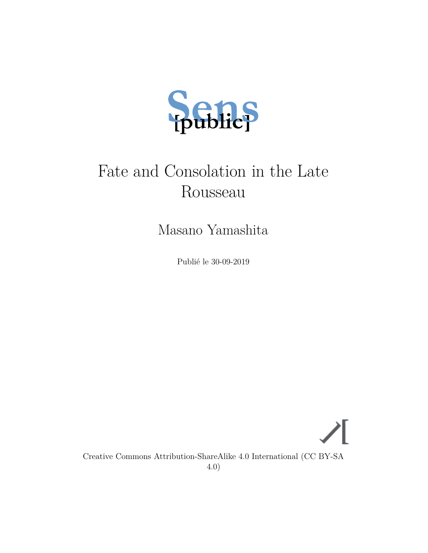

# Fate and Consolation in the Late Rousseau

Masano Yamashita

Publié le 30-09-2019

Creative Commons Attribution-ShareAlike 4.0 International (CC BY-SA 4.0)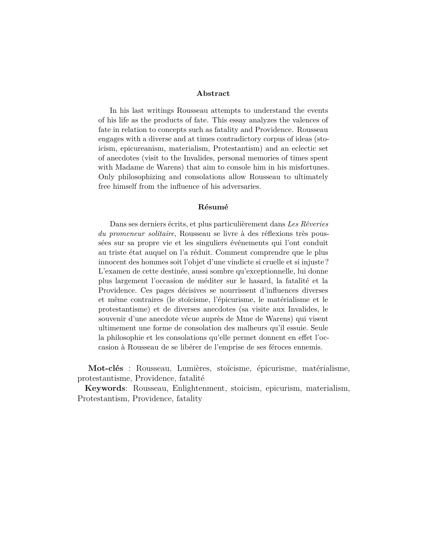#### **Abstract**

In his last writings Rousseau attempts to understand the events of his life as the products of fate. This essay analyzes the valences of fate in relation to concepts such as fatality and Providence. Rousseau engages with a diverse and at times contradictory corpus of ideas (stoicism, epicureanism, materialism, Protestantism) and an eclectic set of anecdotes (visit to the Invalides, personal memories of times spent with Madame de Warens) that aim to console him in his misfortunes. Only philosophizing and consolations allow Rousseau to ultimately free himself from the influence of his adversaries.

### **Résumé**

Dans ses derniers écrits, et plus particulièrement dans *Les Rêveries du promeneur solitaire*, Rousseau se livre à des réflexions très poussées sur sa propre vie et les singuliers événements qui l'ont conduit au triste état auquel on l'a réduit. Comment comprendre que le plus innocent des hommes soit l'objet d'une vindicte si cruelle et si injuste ? L'examen de cette destinée, aussi sombre qu'exceptionnelle, lui donne plus largement l'occasion de méditer sur le hasard, la fatalité et la Providence. Ces pages décisives se nourrissent d'influences diverses et même contraires (le stoïcisme, l'épicurisme, le matérialisme et le protestantisme) et de diverses anecdotes (sa visite aux Invalides, le souvenir d'une anecdote vécue auprès de Mme de Warens) qui visent ultimement une forme de consolation des malheurs qu'il essuie. Seule la philosophie et les consolations qu'elle permet donnent en effet l'occasion à Rousseau de se libérer de l'emprise de ses féroces ennemis.

**Mot-clés** : Rousseau, Lumières, stoïcisme, épicurisme, matérialisme, protestantisme, Providence, fatalité

**Keywords**: Rousseau, Enlightenment, stoicism, epicurism, materialism, Protestantism, Providence, fatality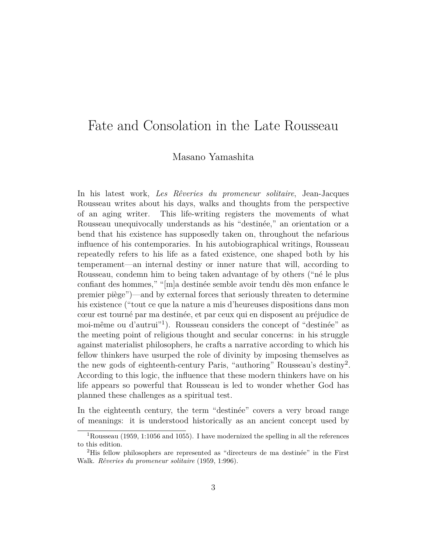# Fate and Consolation in the Late Rousseau

### Masano Yamashita

In his latest work, *Les Rêveries du promeneur solitaire*, Jean-Jacques Rousseau writes about his days, walks and thoughts from the perspective of an aging writer. This life-writing registers the movements of what Rousseau unequivocally understands as his "destinée," an orientation or a bend that his existence has supposedly taken on, throughout the nefarious influence of his contemporaries. In his autobiographical writings, Rousseau repeatedly refers to his life as a fated existence, one shaped both by his temperament—an internal destiny or inner nature that will, according to Rousseau, condemn him to being taken advantage of by others ("né le plus confiant des hommes," "[m]a destinée semble avoir tendu dès mon enfance le premier piège")—and by external forces that seriously threaten to determine his existence ("tout ce que la nature a mis d'heureuses dispositions dans mon cœur est tourné par ma destinée, et par ceux qui en disposent au préjudice de moi-même ou d'autrui"[1](#page-2-0) ). Rousseau considers the concept of "destinée" as the meeting point of religious thought and secular concerns: in his struggle against materialist philosophers, he crafts a narrative according to which his fellow thinkers have usurped the role of divinity by imposing themselves as the new gods of eighteenth-century Paris, "authoring" Rousseau's destiny<sup>[2](#page-2-1)</sup>. According to this logic, the influence that these modern thinkers have on his life appears so powerful that Rousseau is led to wonder whether God has planned these challenges as a spiritual test.

In the eighteenth century, the term "destinée" covers a very broad range of meanings: it is understood historically as an ancient concept used by

<span id="page-2-0"></span><sup>&</sup>lt;sup>1</sup>Rousseau [\(1959](#page-21-0), 1:1056 and 1055). I have modernized the spelling in all the references to this edition.

<span id="page-2-1"></span><sup>2</sup>His fellow philosophers are represented as "directeurs de ma destinée" in the First Walk. *Rêveries du promeneur solitaire* ([1959,](#page-21-0) 1:996).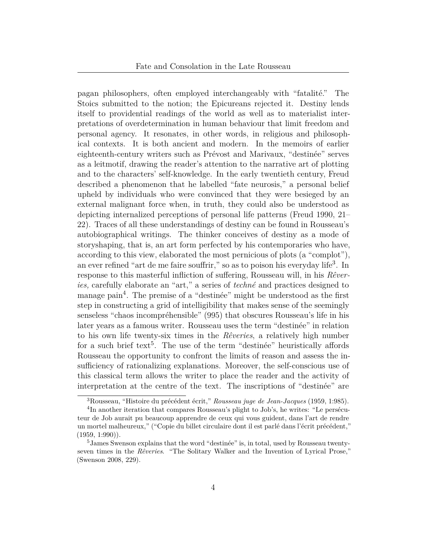pagan philosophers, often employed interchangeably with "fatalité." The Stoics submitted to the notion; the Epicureans rejected it. Destiny lends itself to providential readings of the world as well as to materialist interpretations of overdetermination in human behaviour that limit freedom and personal agency. It resonates, in other words, in religious and philosophical contexts. It is both ancient and modern. In the memoirs of earlier eighteenth-century writers such as Prévost and Marivaux, "destinée" serves as a leitmotif, drawing the reader's attention to the narrative art of plotting and to the characters' self-knowledge. In the early twentieth century, Freud described a phenomenon that he labelled "fate neurosis," a personal belief upheld by individuals who were convinced that they were besieged by an external malignant force when, in truth, they could also be understood as depicting internalized perceptions of personal life patterns (Freud [1990](#page-19-0), 21– 22). Traces of all these understandings of destiny can be found in Rousseau's autobiographical writings. The thinker conceives of destiny as a mode of storyshaping, that is, an art form perfected by his contemporaries who have, according to this view, elaborated the most pernicious of plots (a "complot"), an ever refined "art de me faire souffrir," so as to poison his everyday life<sup>[3](#page-3-0)</sup>. In response to this masterful infliction of suffering, Rousseau will, in his *Rêveries,* carefully elaborate an "art," a series of *techné* and practices designed to manage pain<sup>[4](#page-3-1)</sup>. The premise of a "destinée" might be understood as the first step in constructing a grid of intelligibility that makes sense of the seemingly senseless "chaos incompréhensible" (995) that obscures Rousseau's life in his later years as a famous writer. Rousseau uses the term "destinée" in relation to his own life twenty-six times in the *Rêveries*, a relatively high number for a such brief text<sup>[5](#page-3-2)</sup>. The use of the term "destinée" heuristically affords Rousseau the opportunity to confront the limits of reason and assess the insufficiency of rationalizing explanations. Moreover, the self-conscious use of this classical term allows the writer to place the reader and the activity of interpretation at the centre of the text. The inscriptions of "destinée" are

<span id="page-3-1"></span><span id="page-3-0"></span><sup>3</sup>Rousseau, "Histoire du précédent écrit," *Rousseau juge de Jean-Jacques* [\(1959](#page-21-0), 1:985).

<sup>&</sup>lt;sup>4</sup>In another iteration that compares Rousseau's plight to Job's, he writes: "Le persécuteur de Job aurait pu beaucoup apprendre de ceux qui vous guident, dans l'art de rendre un mortel malheureux," ("Copie du billet circulaire dont il est parlé dans l'écrit précédent,"  $(1959, 1:990)$  $(1959, 1:990)$  $(1959, 1:990)$ .

<span id="page-3-2"></span><sup>&</sup>lt;sup>5</sup>James Swenson explains that the word "destinée" is, in total, used by Rousseau twentyseven times in the *Rêveries*. "The Solitary Walker and the Invention of Lyrical Prose," (Swenson [2008,](#page-21-1) 229).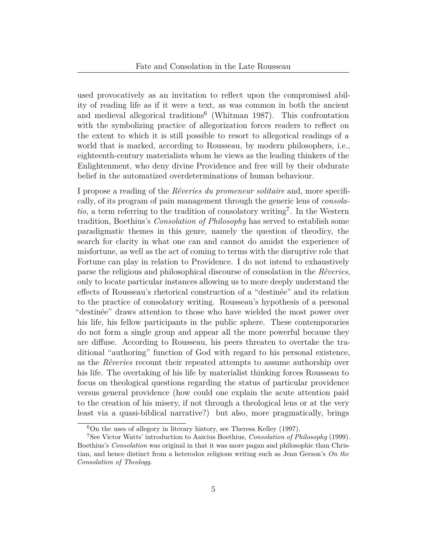used provocatively as an invitation to reflect upon the compromised ability of reading life as if it were a text, as was common in both the ancient and medieval allegorical traditions<sup>[6](#page-4-0)</sup> (Whitman [1987\)](#page-21-2). This confrontation with the symbolizing practice of allegorization forces readers to reflect on the extent to which it is still possible to resort to allegorical readings of a world that is marked, according to Rousseau, by modern philosophers, i.e., eighteenth-century materialists whom he views as the leading thinkers of the Enlightenment, who deny divine Providence and free will by their obdurate belief in the automatized overdeterminations of human behaviour.

I propose a reading of the *Rêveries du promeneur solitaire* and, more specifically, of its program of pain management through the generic lens of *consola-*tio, a term referring to the tradition of consolatory writing<sup>[7](#page-4-1)</sup>. In the Western tradition, Boethius's *Consolation of Philosophy* has served to establish some paradigmatic themes in this genre, namely the question of theodicy, the search for clarity in what one can and cannot do amidst the experience of misfortune, as well as the act of coming to terms with the disruptive role that Fortune can play in relation to Providence. I do not intend to exhaustively parse the religious and philosophical discourse of consolation in the *Rêveries*, only to locate particular instances allowing us to more deeply understand the effects of Rousseau's rhetorical construction of a "destinée" and its relation to the practice of consolatory writing. Rousseau's hypothesis of a personal "destinée" draws attention to those who have wielded the most power over his life, his fellow participants in the public sphere. These contemporaries do not form a single group and appear all the more powerful because they are diffuse. According to Rousseau, his peers threaten to overtake the traditional "authoring" function of God with regard to his personal existence, as the *Rêveries* recount their repeated attempts to assume authorship over his life. The overtaking of his life by materialist thinking forces Rousseau to focus on theological questions regarding the status of particular providence versus general providence (how could one explain the acute attention paid to the creation of his misery, if not through a theological lens or at the very least via a quasi-biblical narrative?) but also, more pragmatically, brings

<span id="page-4-1"></span><span id="page-4-0"></span> $6$ On the uses of allegory in literary history, see Theresa Kelley [\(1997](#page-20-0)).

<sup>7</sup>See Victor Watts' introduction to Anicius Boethius, *Consolation of Philosophy* ([1999\)](#page-18-0). Boethius's *Consolation* was original in that it was more pagan and philosophic than Christian, and hence distinct from a heterodox religious writing such as Jean Gerson's *On the Consolation of Theology.*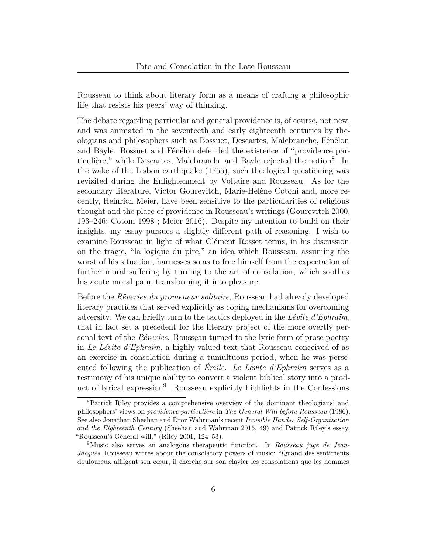Rousseau to think about literary form as a means of crafting a philosophic life that resists his peers' way of thinking.

The debate regarding particular and general providence is, of course, not new, and was animated in the seventeeth and early eighteenth centuries by theologians and philosophers such as Bossuet, Descartes, Malebranche, Fénélon and Bayle. Bossuet and Fénélon defended the existence of "providence par-ticulière," while Descartes, Malebranche and Bayle rejected the notion<sup>[8](#page-5-0)</sup>. In the wake of the Lisbon earthquake (1755), such theological questioning was revisited during the Enlightenment by Voltaire and Rousseau. As for the secondary literature, Victor Gourevitch, Marie-Hélène Cotoni and, more recently, Heinrich Meier, have been sensitive to the particularities of religious thought and the place of providence in Rousseau's writings (Gourevitch [2000,](#page-19-1) 193–246; Cotoni [1998](#page-19-2) ; Meier [2016\)](#page-20-1). Despite my intention to build on their insights, my essay pursues a slightly different path of reasoning. I wish to examine Rousseau in light of what Clément Rosset terms, in his discussion on the tragic, "la logique du pire," an idea which Rousseau, assuming the worst of his situation, harnesses so as to free himself from the expectation of further moral suffering by turning to the art of consolation, which soothes his acute moral pain, transforming it into pleasure.

Before the *Rêveries du promeneur solitaire*, Rousseau had already developed literary practices that served explicitly as coping mechanisms for overcoming adversity. We can briefly turn to the tactics deployed in the *Lévite d'Ephraïm,* that in fact set a precedent for the literary project of the more overtly personal text of the *Rêveries*. Rousseau turned to the lyric form of prose poetry in *Le Lévite d'Ephraïm*, a highly valued text that Rousseau conceived of as an exercise in consolation during a tumultuous period, when he was persecuted following the publication of *Émile*. *Le Lévite d'Ephraïm* serves as a testimony of his unique ability to convert a violent biblical story into a prod-uct of lyrical expression<sup>[9](#page-5-1)</sup>. Rousseau explicitly highlights in the Confessions

<span id="page-5-0"></span><sup>8</sup>Patrick Riley provides a comprehensive overview of the dominant theologians' and philosophers' views on *providence particulière* in *The General Will before Rousseau* ([1986\)](#page-20-2). See also Jonathan Sheehan and Dror Wahrman's recent *Invisible Hands: Self-Organization and the Eighteenth Century* (Sheehan and Wahrman [2015,](#page-21-3) 49) and Patrick Riley's essay, "Rousseau's General will," (Riley [2001](#page-20-3), 124–53).

<span id="page-5-1"></span><sup>9</sup>Music also serves an analogous therapeutic function. In *Rousseau juge de Jean-Jacques*, Rousseau writes about the consolatory powers of music: "Quand des sentiments douloureux affligent son cœur, il cherche sur son clavier les consolations que les hommes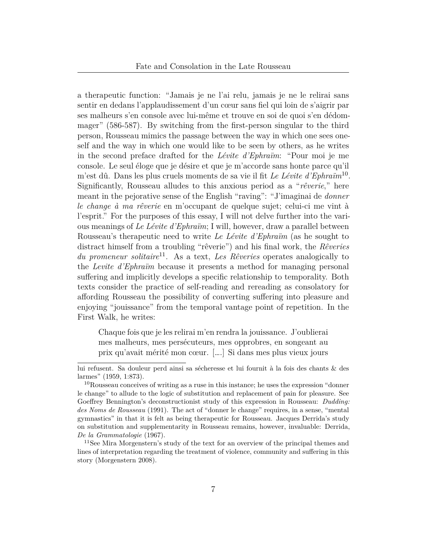a therapeutic function: "Jamais je ne l'ai relu, jamais je ne le relirai sans sentir en dedans l'applaudissement d'un cœur sans fiel qui loin de s'aigrir par ses malheurs s'en console avec lui-même et trouve en soi de quoi s'en dédommager" (586-587). By switching from the first-person singular to the third person, Rousseau mimics the passage between the way in which one sees oneself and the way in which one would like to be seen by others, as he writes in the second preface drafted for the *Lévite d'Ephraïm*: "Pour moi je me console. Le seul éloge que je désire et que je m'accorde sans honte parce qu'il m'est dû. Dans les plus cruels moments de sa vie il fit *Le Lévite d'Ephraïm*[10](#page-6-0) . Significantly, Rousseau alludes to this anxious period as a "*rêverie*," here meant in the pejorative sense of the English "raving": "J'imaginai de *donner le change à ma rêverie* en m'occupant de quelque sujet; celui-ci me vint à l'esprit." For the purposes of this essay, I will not delve further into the various meanings of *Le Lévite d'Ephraïm*; I will, however, draw a parallel between Rousseau's therapeutic need to write *Le Lévite d'Ephraïm* (as he sought to distract himself from a troubling "rêverie") and his final work, the *Rêveries du promeneur solitaire*[11](#page-6-1). As a text, *Les Rêveries* operates analogically to the *Levite d'Ephraïm* because it presents a method for managing personal suffering and implicitly develops a specific relationship to temporality. Both texts consider the practice of self-reading and rereading as consolatory for affording Rousseau the possibility of converting suffering into pleasure and enjoying "jouissance" from the temporal vantage point of repetition. In the First Walk, he writes:

Chaque fois que je les relirai m'en rendra la jouissance. J'oublierai mes malheurs, mes persécuteurs, mes opprobres, en songeant au prix qu'avait mérité mon cœur. [….] Si dans mes plus vieux jours

lui refusent. Sa douleur perd ainsi sa sécheresse et lui fournit à la fois des chants & des larmes" [\(1959,](#page-21-0) 1:873).

<span id="page-6-0"></span> $10$ Rousseau conceives of writing as a ruse in this instance; he uses the expression "donner" le change" to allude to the logic of substitution and replacement of pain for pleasure. See Goeffrey Bennington's deconstructionist study of this expression in Rousseau: *Dudding: des Noms de Rousseau* ([1991\)](#page-18-1). The act of "donner le change" requires, in a sense, "mental gymnastics" in that it is felt as being therapeutic for Rousseau. Jacques Derrida's study on substitution and supplementarity in Rousseau remains, however, invaluable: Derrida, *De la Grammatologie* [\(1967](#page-19-3)).

<span id="page-6-1"></span><sup>&</sup>lt;sup>11</sup>See Mira Morgenstern's study of the text for an overview of the principal themes and lines of interpretation regarding the treatment of violence, community and suffering in this story (Morgenstern [2008\)](#page-20-4).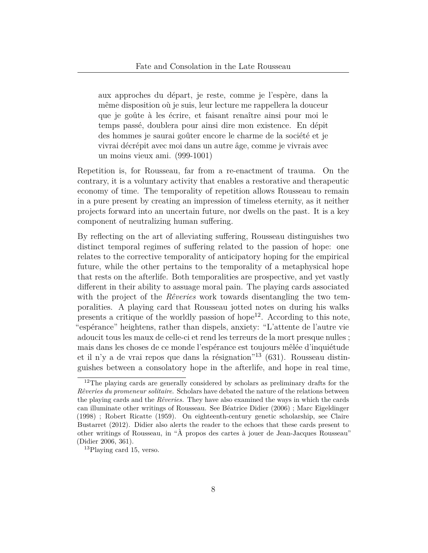aux approches du départ, je reste, comme je l'espère, dans la même disposition où je suis, leur lecture me rappellera la douceur que je goûte à les écrire, et faisant renaître ainsi pour moi le temps passé, doublera pour ainsi dire mon existence. En dépit des hommes je saurai goûter encore le charme de la société et je vivrai décrépit avec moi dans un autre âge, comme je vivrais avec un moins vieux ami. (999-1001)

Repetition is, for Rousseau, far from a re-enactment of trauma. On the contrary, it is a voluntary activity that enables a restorative and therapeutic economy of time. The temporality of repetition allows Rousseau to remain in a pure present by creating an impression of timeless eternity, as it neither projects forward into an uncertain future, nor dwells on the past. It is a key component of neutralizing human suffering.

By reflecting on the art of alleviating suffering, Rousseau distinguishes two distinct temporal regimes of suffering related to the passion of hope: one relates to the corrective temporality of anticipatory hoping for the empirical future, while the other pertains to the temporality of a metaphysical hope that rests on the afterlife. Both temporalities are prospective, and yet vastly different in their ability to assuage moral pain. The playing cards associated with the project of the *Rêveries* work towards disentangling the two temporalities. A playing card that Rousseau jotted notes on during his walks presents a critique of the worldly passion of hope<sup>[12](#page-7-0)</sup>. According to this note, "espérance" heightens, rather than dispels, anxiety: "L'attente de l'autre vie adoucit tous les maux de celle-ci et rend les terreurs de la mort presque nulles ; mais dans les choses de ce monde l'espérance est toujours mêlée d'inquiétude et il n'y a de vrai repos que dans la résignation<sup>"[13](#page-7-1)</sup> (631). Rousseau distinguishes between a consolatory hope in the afterlife, and hope in real time,

<span id="page-7-0"></span><sup>&</sup>lt;sup>12</sup>The playing cards are generally considered by scholars as preliminary drafts for the *Rêveries du promeneur solitaire*. Scholars have debated the nature of the relations between the playing cards and the *Rêveries.* They have also examined the ways in which the cards can illuminate other writings of Rousseau. See Béatrice Didier ([2006](#page-19-4)) ; Marc Eigeldinger ([1998](#page-19-5)) ; Robert Ricatte ([1959\)](#page-20-5). On eighteenth-century genetic scholarship, see Claire Bustarret ([2012\)](#page-18-2). Didier also alerts the reader to the echoes that these cards present to other writings of Rousseau, in "À propos des cartes à jouer de Jean-Jacques Rousseau" (Didier [2006,](#page-19-4) 361).

<span id="page-7-1"></span><sup>&</sup>lt;sup>13</sup>Playing card 15, verso.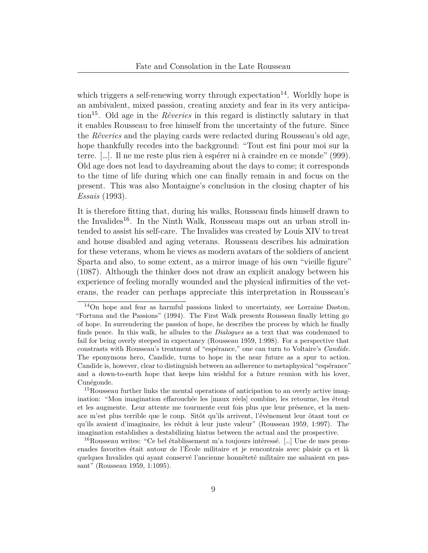which triggers a self-renewing worry through expectation<sup>[14](#page-8-0)</sup>. Worldly hope is an ambivalent, mixed passion, creating anxiety and fear in its very anticipation[15](#page-8-1). Old age in the *Rêveries* in this regard is distinctly salutary in that it enables Rousseau to free himself from the uncertainty of the future. Since the *Rêveries* and the playing cards were redacted during Rousseau's old age, hope thankfully recedes into the background: "Tout est fini pour moi sur la terre. […]. Il ne me reste plus rien à espérer ni à craindre en ce monde" (999). Old age does not lead to daydreaming about the days to come; it corresponds to the time of life during which one can finally remain in and focus on the present. This was also Montaigne's conclusion in the closing chapter of his *Essais* ([1993](#page-20-6)).

It is therefore fitting that, during his walks, Rousseau finds himself drawn to the Invalides<sup>[16](#page-8-2)</sup>. In the Ninth Walk, Rousseau maps out an urban stroll intended to assist his self-care. The Invalides was created by Louis XIV to treat and house disabled and aging veterans. Rousseau describes his admiration for these veterans, whom he views as modern avatars of the soldiers of ancient Sparta and also, to some extent, as a mirror image of his own "vieille figure" (1087). Although the thinker does not draw an explicit analogy between his experience of feeling morally wounded and the physical infirmities of the veterans, the reader can perhaps appreciate this interpretation in Rousseau's

<span id="page-8-1"></span><sup>15</sup>Rousseau further links the mental operations of anticipation to an overly active imagination: "Mon imagination effarouchée les [maux réels] combine, les retourne, les étend et les augmente. Leur attente me tourmente cent fois plus que leur présence, et la menace m'est plus terrible que le coup. Sitôt qu'ils arrivent, l'événement leur ôtant tout ce qu'ils avaient d'imaginaire, les réduit à leur juste valeur" (Rousseau [1959,](#page-21-0) 1:997). The imagination establishes a destabilizing hiatus between the actual and the prospective.

<span id="page-8-2"></span><sup>16</sup>Rousseau writes: "Ce bel établissement m'a toujours intéressé. […] Une de mes promenades favorites était autour de l'École militaire et je rencontrais avec plaisir ça et là quelques Invalides qui ayant conservé l'ancienne honnêteté militaire me saluaient en passant" (Rousseau [1959,](#page-21-0) 1:1095).

<span id="page-8-0"></span><sup>14</sup>On hope and fear as harmful passions linked to uncertainty, see Lorraine Daston, "Fortuna and the Passions" [\(1994](#page-19-6)). The First Walk presents Rousseau finally letting go of hope. In surrendering the passion of hope, he describes the process by which he finally finds peace. In this walk, he alludes to the *Dialogues* as a text that was condemned to fail for being overly steeped in expectancy (Rousseau [1959](#page-21-0), 1:998). For a perspective that constrasts with Rousseau's treatment of "espérance," one can turn to Voltaire's *Candide*. The eponymous hero, Candide, turns to hope in the near future as a spur to action. Candide is, however, clear to distinguish between an adherence to metaphysical "espérance" and a down-to-earth hope that keeps him wishful for a future reunion with his lover, Cunégonde.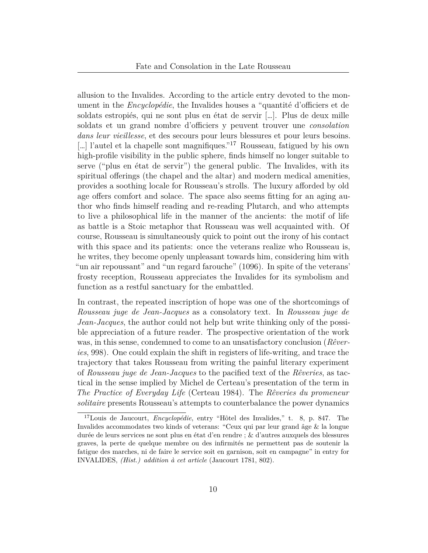allusion to the Invalides. According to the article entry devoted to the monument in the *Encyclopédie*, the Invalides houses a "quantité d'officiers et de soldats estropiés, qui ne sont plus en état de servir […]. Plus de deux mille soldats et un grand nombre d'officiers y peuvent trouver une *consolation dans leur vieillesse*, et des secours pour leurs blessures et pour leurs besoins. […] l'autel et la chapelle sont magnifiques.<sup>"[17](#page-9-0)</sup> Rousseau, fatigued by his own high-profile visibility in the public sphere, finds himself no longer suitable to serve ("plus en état de servir") the general public. The Invalides, with its spiritual offerings (the chapel and the altar) and modern medical amenities, provides a soothing locale for Rousseau's strolls. The luxury afforded by old age offers comfort and solace. The space also seems fitting for an aging author who finds himself reading and re-reading Plutarch, and who attempts to live a philosophical life in the manner of the ancients: the motif of life as battle is a Stoic metaphor that Rousseau was well acquainted with. Of course, Rousseau is simultaneously quick to point out the irony of his contact with this space and its patients: once the veterans realize who Rousseau is, he writes, they become openly unpleasant towards him, considering him with "un air repoussant" and "un regard farouche" (1096). In spite of the veterans' frosty reception, Rousseau appreciates the Invalides for its symbolism and function as a restful sanctuary for the embattled.

In contrast, the repeated inscription of hope was one of the shortcomings of *Rousseau juge de Jean-Jacques* as a consolatory text. In *Rousseau juge de Jean-Jacques*, the author could not help but write thinking only of the possible appreciation of a future reader. The prospective orientation of the work was, in this sense, condemned to come to an unsatisfactory conclusion (*Rêveries*, 998). One could explain the shift in registers of life-writing, and trace the trajectory that takes Rousseau from writing the painful literary experiment of *Rousseau juge de Jean-Jacques* to the pacified text of the *Rêveries*, as tactical in the sense implied by Michel de Certeau's presentation of the term in *The Practice of Everyday Life* (Certeau [1984\)](#page-19-7). The *Rêveries du promeneur solitaire* presents Rousseau's attempts to counterbalance the power dynamics

<span id="page-9-0"></span><sup>17</sup>Louis de Jaucourt, *Encyclopédie*, entry "Hôtel des Invalides," t. 8, p. 847. The Invalides accommodates two kinds of veterans: "Ceux qui par leur grand âge & la longue durée de leurs services ne sont plus en état d'en rendre ; & d'autres auxquels des blessures graves, la perte de quelque membre ou des infirmités ne permettent pas de soutenir la fatigue des marches, ni de faire le service soit en garnison, soit en campagne" in entry for INVALIDES, *(Hist.) addition à cet article* (Jaucourt [1781,](#page-20-7) 802).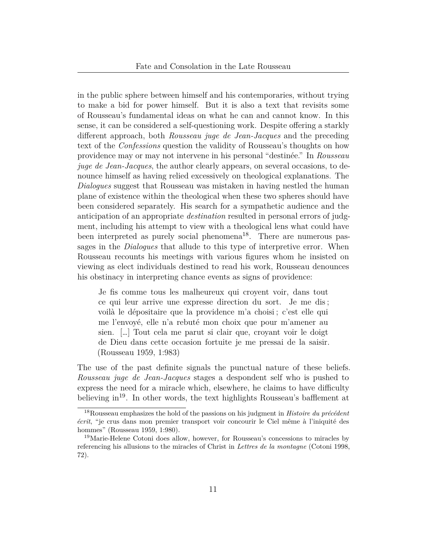in the public sphere between himself and his contemporaries, without trying to make a bid for power himself. But it is also a text that revisits some of Rousseau's fundamental ideas on what he can and cannot know. In this sense, it can be considered a self-questioning work. Despite offering a starkly different approach, both *Rousseau juge de Jean-Jacques* and the preceding text of the *Confessions* question the validity of Rousseau's thoughts on how providence may or may not intervene in his personal "destinée." In *Rousseau juge de Jean-Jacques*, the author clearly appears, on several occasions, to denounce himself as having relied excessively on theological explanations. The *Dialogues* suggest that Rousseau was mistaken in having nestled the human plane of existence within the theological when these two spheres should have been considered separately. His search for a sympathetic audience and the anticipation of an appropriate *destination* resulted in personal errors of judgment, including his attempt to view with a theological lens what could have been interpreted as purely social phenomena<sup>[18](#page-10-0)</sup>. There are numerous passages in the *Dialogues* that allude to this type of interpretive error. When Rousseau recounts his meetings with various figures whom he insisted on viewing as elect individuals destined to read his work, Rousseau denounces his obstinacy in interpreting chance events as signs of providence:

Je fis comme tous les malheureux qui croyent voir, dans tout ce qui leur arrive une expresse direction du sort. Je me dis ; voilà le dépositaire que la providence m'a choisi ; c'est elle qui me l'envoyé, elle n'a rebuté mon choix que pour m'amener au sien. […] Tout cela me parut si clair que, croyant voir le doigt de Dieu dans cette occasion fortuite je me pressai de la saisir. (Rousseau [1959](#page-21-0), 1:983)

The use of the past definite signals the punctual nature of these beliefs. *Rousseau juge de Jean-Jacques* stages a despondent self who is pushed to express the need for a miracle which, elsewhere, he claims to have difficulty believing  $\text{in}^{19}$  $\text{in}^{19}$  $\text{in}^{19}$ . In other words, the text highlights Rousseau's bafflement at

<span id="page-10-0"></span><sup>18</sup>Rousseau emphasizes the hold of the passions on his judgment in *Histoire du précédent écrit*, "je crus dans mon premier transport voir concourir le Ciel même à l'iniquité des hommes" (Rousseau [1959](#page-21-0), 1:980).

<span id="page-10-1"></span><sup>19</sup>Marie-Helene Cotoni does allow, however, for Rousseau's concessions to miracles by referencing his allusions to the miracles of Christ in *Lettres de la montagne* (Cotoni [1998](#page-19-2), 72).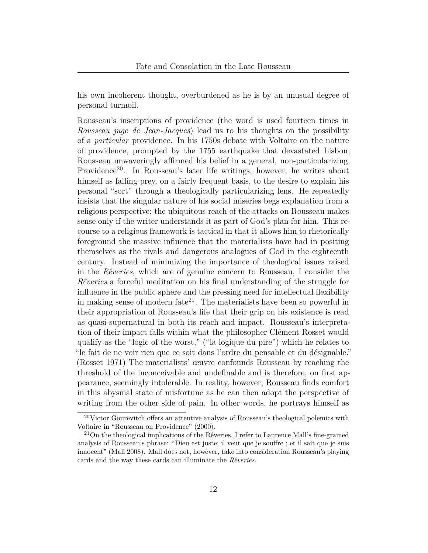his own incoherent thought, overburdened as he is by an unusual degree of personal turmoil.

Rousseau's inscriptions of providence (the word is used fourteen times in *Rousseau juge de Jean-Jacques*) lead us to his thoughts on the possibility of a *particular* providence. In his 1750s debate with Voltaire on the nature of providence, prompted by the 1755 earthquake that devastated Lisbon, Rousseau unwaveringly affirmed his belief in a general, non-particularizing, Providence<sup>[20](#page-11-0)</sup>. In Rousseau's later life writings, however, he writes about himself as falling prey, on a fairly frequent basis, to the desire to explain his personal "sort" through a theologically particularizing lens. He repeatedly insists that the singular nature of his social miseries begs explanation from a religious perspective; the ubiquitous reach of the attacks on Rousseau makes sense only if the writer understands it as part of God's plan for him. This recourse to a religious framework is tactical in that it allows him to rhetorically foreground the massive influence that the materialists have had in positing themselves as the rivals and dangerous analogues of God in the eighteenth century. Instead of minimizing the importance of theological issues raised in the *Rêveries*, which are of genuine concern to Rousseau, I consider the *Rêveries* a forceful meditation on his final understanding of the struggle for influence in the public sphere and the pressing need for intellectual flexibility in making sense of modern fate<sup>[21](#page-11-1)</sup>. The materialists have been so powerful in their appropriation of Rousseau's life that their grip on his existence is read as quasi-supernatural in both its reach and impact. Rousseau's interpretation of their impact falls within what the philosopher Clément Rosset would qualify as the "logic of the worst," ("la logique du pire") which he relates to "le fait de ne voir rien que ce soit dans l'ordre du pensable et du désignable." (Rosset [1971](#page-21-4)) The materialists' œuvre confounds Rousseau by reaching the threshold of the inconceivable and undefinable and is therefore, on first appearance, seemingly intolerable. In reality, however, Rousseau finds comfort in this abysmal state of misfortune as he can then adopt the perspective of writing from the other side of pain. In other words, he portrays himself as

<span id="page-11-0"></span> $20$ Victor Gourevitch offers an attentive analysis of Rousseau's theological polemics with Voltaire in "Rousseau on Providence" ([2000\)](#page-19-1).

<span id="page-11-1"></span><sup>21</sup>On the theological implications of the Rêveries, I refer to Laurence Mall's fine-grained analysis of Rousseau's phrase: "Dieu est juste; il veut que je souffre ; et il sait que je suis innocent" (Mall [2008](#page-20-8)). Mall does not, however, take into consideration Rousseau's playing cards and the way these cards can illuminate the *Rêveries*.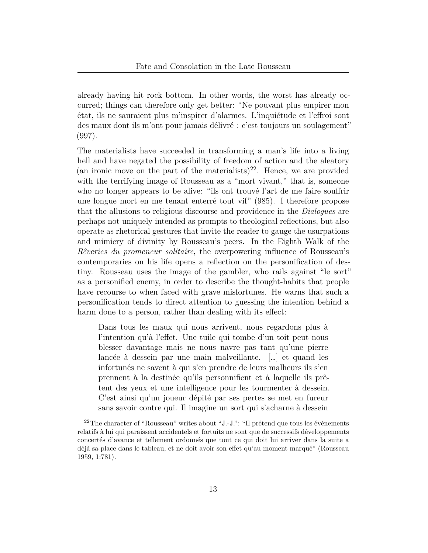already having hit rock bottom. In other words, the worst has already occurred; things can therefore only get better: "Ne pouvant plus empirer mon état, ils ne sauraient plus m'inspirer d'alarmes. L'inquiétude et l'effroi sont des maux dont ils m'ont pour jamais délivré : c'est toujours un soulagement" (997).

The materialists have succeeded in transforming a man's life into a living hell and have negated the possibility of freedom of action and the aleatory (an ironic move on the part of the materialists)<sup>[22](#page-12-0)</sup>. Hence, we are provided with the terrifying image of Rousseau as a "mort vivant," that is, someone who no longer appears to be alive: "ils ont trouvé l'art de me faire souffrir une longue mort en me tenant enterré tout vif" (985). I therefore propose that the allusions to religious discourse and providence in the *Dialogues* are perhaps not uniquely intended as prompts to theological reflections, but also operate as rhetorical gestures that invite the reader to gauge the usurpations and mimicry of divinity by Rousseau's peers. In the Eighth Walk of the *Rêveries du promeneur solitaire*, the overpowering influence of Rousseau's contemporaries on his life opens a reflection on the personification of destiny. Rousseau uses the image of the gambler, who rails against "le sort" as a personified enemy, in order to describe the thought-habits that people have recourse to when faced with grave misfortunes. He warns that such a personification tends to direct attention to guessing the intention behind a harm done to a person, rather than dealing with its effect:

Dans tous les maux qui nous arrivent, nous regardons plus à l'intention qu'à l'effet. Une tuile qui tombe d'un toit peut nous blesser davantage mais ne nous navre pas tant qu'une pierre lancée à dessein par une main malveillante. […] et quand les infortunés ne savent à qui s'en prendre de leurs malheurs ils s'en prennent à la destinée qu'ils personnifient et à laquelle ils prêtent des yeux et une intelligence pour les tourmenter à dessein. C'est ainsi qu'un joueur dépité par ses pertes se met en fureur sans savoir contre qui. Il imagine un sort qui s'acharne à dessein

<span id="page-12-0"></span> $22$ The character of "Rousseau" writes about "J.-J.": "Il prétend que tous les événements relatifs à lui qui paraissent accidentels et fortuits ne sont que de successifs développements concertés d'avance et tellement ordonnés que tout ce qui doit lui arriver dans la suite a déjà sa place dans le tableau, et ne doit avoir son effet qu'au moment marqué" (Rousseau [1959,](#page-21-0) 1:781).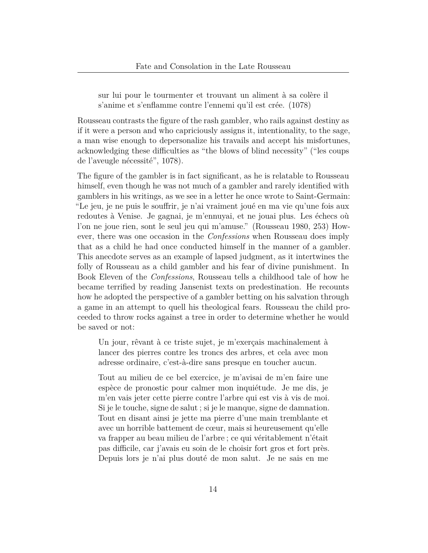sur lui pour le tourmenter et trouvant un aliment à sa colère il s'anime et s'enflamme contre l'ennemi qu'il est crée. (1078)

Rousseau contrasts the figure of the rash gambler, who rails against destiny as if it were a person and who capriciously assigns it, intentionality, to the sage, a man wise enough to depersonalize his travails and accept his misfortunes, acknowledging these difficulties as "the blows of blind necessity" ("les coups de l'aveugle nécessité", 1078).

The figure of the gambler is in fact significant, as he is relatable to Rousseau himself, even though he was not much of a gambler and rarely identified with gamblers in his writings, as we see in a letter he once wrote to Saint-Germain: "Le jeu, je ne puis le souffrir, je n'ai vraiment joué en ma vie qu'une fois aux redoutes à Venise. Je gagnai, je m'ennuyai, et ne jouai plus. Les échecs où l'on ne joue rien, sont le seul jeu qui m'amuse." (Rousseau [1980,](#page-21-5) 253) However, there was one occasion in the *Confessions* when Rousseau does imply that as a child he had once conducted himself in the manner of a gambler. This anecdote serves as an example of lapsed judgment, as it intertwines the folly of Rousseau as a child gambler and his fear of divine punishment. In Book Eleven of the *Confessions*, Rousseau tells a childhood tale of how he became terrified by reading Jansenist texts on predestination. He recounts how he adopted the perspective of a gambler betting on his salvation through a game in an attempt to quell his theological fears. Rousseau the child proceeded to throw rocks against a tree in order to determine whether he would be saved or not:

Un jour, rêvant à ce triste sujet, je m'exerçais machinalement à lancer des pierres contre les troncs des arbres, et cela avec mon adresse ordinaire, c'est-à-dire sans presque en toucher aucun.

Tout au milieu de ce bel exercice, je m'avisai de m'en faire une espèce de pronostic pour calmer mon inquiétude. Je me dis, je m'en vais jeter cette pierre contre l'arbre qui est vis à vis de moi. Si je le touche, signe de salut ; si je le manque, signe de damnation. Tout en disant ainsi je jette ma pierre d'une main tremblante et avec un horrible battement de cœur, mais si heureusement qu'elle va frapper au beau milieu de l'arbre ; ce qui véritablement n'était pas difficile, car j'avais eu soin de le choisir fort gros et fort près. Depuis lors je n'ai plus douté de mon salut. Je ne sais en me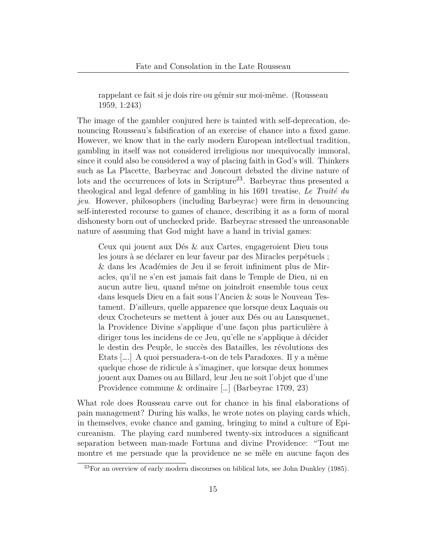rappelant ce fait si je dois rire ou gémir sur moi-même. (Rousseau [1959](#page-21-0), 1:243)

The image of the gambler conjured here is tainted with self-deprecation, denouncing Rousseau's falsification of an exercise of chance into a fixed game. However, we know that in the early modern European intellectual tradition, gambling in itself was not considered irreligious nor unequivocally immoral, since it could also be considered a way of placing faith in God's will. Thinkers such as La Placette, Barbeyrac and Joncourt debated the divine nature of lots and the occurrences of lots in Scripture<sup>[23](#page-14-0)</sup>. Barbeyrac thus presented a theological and legal defence of gambling in his 1691 treatise, *Le Traité du jeu*. However, philosophers (including Barbeyrac) were firm in denouncing self-interested recourse to games of chance, describing it as a form of moral dishonesty born out of unchecked pride. Barbeyrac stressed the unreasonable nature of assuming that God might have a hand in trivial games:

Ceux qui jouent aux Dés & aux Cartes, engageroient Dieu tous les jours à se déclarer en leur faveur par des Miracles perpétuels ; & dans les Académies de Jeu il se feroit infiniment plus de Miracles, qu'il ne s'en est jamais fait dans le Temple de Dieu, ni en aucun autre lieu, quand même on joindroit ensemble tous ceux dans lesquels Dieu en a fait sous l'Ancien & sous le Nouveau Testament. D'ailleurs, quelle apparence que lorsque deux Laquais ou deux Crocheteurs se mettent à jouer aux Dés ou au Lansquenet, la Providence Divine s'applique d'une façon plus particulière à diriger tous les incidens de ce Jeu, qu'elle ne s'applique à décider le destin des Peuple, le succès des Batailles, les révolutions des Etats [….] A quoi persuadera-t-on de tels Paradoxes. Il y a même quelque chose de ridicule à s'imaginer, que lorsque deux hommes jouent aux Dames ou au Billard, leur Jeu ne soit l'objet que d'une Providence commune & ordinaire […] (Barbeyrac [1709](#page-18-3), 23)

What role does Rousseau carve out for chance in his final elaborations of pain management? During his walks, he wrote notes on playing cards which, in themselves, evoke chance and gaming, bringing to mind a culture of Epicureanism. The playing card numbered twenty-six introduces a significant separation between man-made Fortuna and divine Providence: "Tout me montre et me persuade que la providence ne se mêle en aucune façon des

<span id="page-14-0"></span> $^{23}$ For an overview of early modern discourses on biblical lots, see John Dunkley ([1985\)](#page-19-8).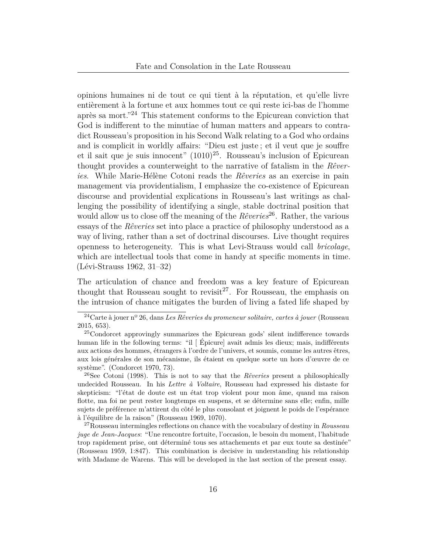opinions humaines ni de tout ce qui tient à la réputation, et qu'elle livre entièrement à la fortune et aux hommes tout ce qui reste ici-bas de l'homme après sa mort."[24](#page-15-0) This statement conforms to the Epicurean conviction that God is indifferent to the minutiae of human matters and appears to contradict Rousseau's proposition in his Second Walk relating to a God who ordains and is complicit in worldly affairs: "Dieu est juste ; et il veut que je souffre et il sait que je suis innocent"  $(1010)^{25}$  $(1010)^{25}$  $(1010)^{25}$ . Rousseau's inclusion of Epicurean thought provides a counterweight to the narrative of fatalism in the *Rêveries*. While Marie-Hélène Cotoni reads the *Rêveries* as an exercise in pain management via providentialism, I emphasize the co-existence of Epicurean discourse and providential explications in Rousseau's last writings as challenging the possibility of identifying a single, stable doctrinal position that would allow us to close off the meaning of the *Rêveries*<sup>[26](#page-15-2)</sup>. Rather, the various essays of the *Rêveries* set into place a practice of philosophy understood as a way of living, rather than a set of doctrinal discourses. Live thought requires openness to heterogeneity. This is what Levi-Strauss would call *bricolage*, which are intellectual tools that come in handy at specific moments in time. (Lévi-Strauss [1962](#page-20-9), 31–32)

The articulation of chance and freedom was a key feature of Epicurean thought that Rousseau sought to revisit<sup>[27](#page-15-3)</sup>. For Rousseau, the emphasis on the intrusion of chance mitigates the burden of living a fated life shaped by

<span id="page-15-0"></span><sup>24</sup>Carte à jouer nº 26, dans *Les Rêveries du promeneur solitaire, cartes à jouer* (Rousseau [2015,](#page-21-6) 653).

<span id="page-15-1"></span><sup>25</sup>Condorcet approvingly summarizes the Epicurean gods' silent indifference towards human life in the following terms: "il [ Épicure] avait admis les dieux; mais, indifférents aux actions des hommes, étrangers à l'ordre de l'univers, et soumis, comme les autres êtres, aux lois générales de son mécanisme, ils étaient en quelque sorte un hors d'œuvre de ce système". (Condorcet [1970](#page-19-9), 73).

<span id="page-15-2"></span><sup>26</sup>See Cotoni ([1998\)](#page-19-2). This is not to say that the *Rêveries* present a philosophically undecided Rousseau. In his *Lettre à Voltaire*, Rousseau had expressed his distaste for skepticism: "l'état de doute est un état trop violent pour mon âme, quand ma raison flotte, ma foi ne peut rester longtemps en suspens, et se détermine sans elle; enfin, mille sujets de préférence m'attirent du côté le plus consolant et joignent le poids de l'espérance à l'équilibre de la raison" (Rousseau [1969,](#page-21-7) 1070).

<span id="page-15-3"></span><sup>27</sup>Rousseau intermingles reflections on chance with the vocabulary of destiny in *Rousseau juge de Jean-Jacques*: "Une rencontre fortuite, l'occasion, le besoin du moment, l'habitude trop rapidement prise, ont déterminé tous ses attachements et par eux toute sa destinée" (Rousseau [1959](#page-21-0), 1:847). This combination is decisive in understanding his relationship with Madame de Warens. This will be developed in the last section of the present essay.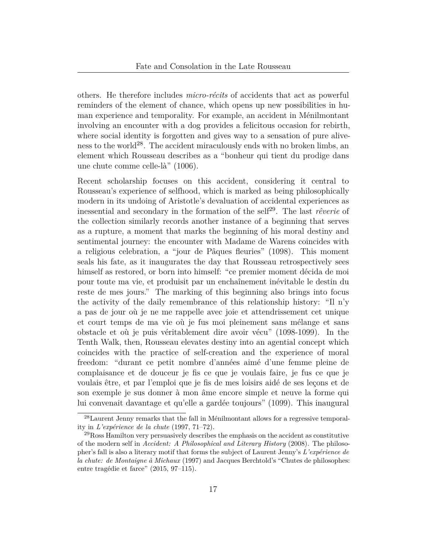others. He therefore includes *micro-récits* of accidents that act as powerful reminders of the element of chance, which opens up new possibilities in human experience and temporality. For example, an accident in Ménilmontant involving an encounter with a dog provides a felicitous occasion for rebirth, where social identity is forgotten and gives way to a sensation of pure alive-ness to the world<sup>[28](#page-16-0)</sup>. The accident miraculously ends with no broken limbs, an element which Rousseau describes as a "bonheur qui tient du prodige dans une chute comme celle-là" (1006).

Recent scholarship focuses on this accident, considering it central to Rousseau's experience of selfhood, which is marked as being philosophically modern in its undoing of Aristotle's devaluation of accidental experiences as inessential and secondary in the formation of the self<sup>[29](#page-16-1)</sup>. The last *rêverie* of the collection similarly records another instance of a beginning that serves as a rupture, a moment that marks the beginning of his moral destiny and sentimental journey: the encounter with Madame de Warens coincides with a religious celebration, a "jour de Pâques fleuries" (1098). This moment seals his fate, as it inaugurates the day that Rousseau retrospectively sees himself as restored, or born into himself: "ce premier moment décida de moi pour toute ma vie, et produisit par un enchaînement inévitable le destin du reste de mes jours." The marking of this beginning also brings into focus the activity of the daily remembrance of this relationship history: "Il n'y a pas de jour où je ne me rappelle avec joie et attendrissement cet unique et court temps de ma vie où je fus moi pleinement sans mélange et sans obstacle et où je puis véritablement dire avoir vécu" (1098-1099). In the Tenth Walk, then, Rousseau elevates destiny into an agential concept which coincides with the practice of self-creation and the experience of moral freedom: "durant ce petit nombre d'années aimé d'une femme pleine de complaisance et de douceur je fis ce que je voulais faire, je fus ce que je voulais être, et par l'emploi que je fis de mes loisirs aidé de ses leçons et de son exemple je sus donner à mon âme encore simple et neuve la forme qui lui convenait davantage et qu'elle a gardée toujours" (1099). This inaugural

<span id="page-16-0"></span><sup>28</sup>Laurent Jenny remarks that the fall in Ménilmontant allows for a regressive temporality in *L'expérience de la chute* [\(1997](#page-20-10), 71–72).

<span id="page-16-1"></span> $^{29}$ Ross Hamilton very persuasively describes the emphasis on the accident as constitutive of the modern self in *Accident: A Philosophical and Literary History* [\(2008\)](#page-20-11). The philosopher's fall is also a literary motif that forms the subject of Laurent Jenny's *L'expérience de la chute: de Montaigne à Michaux* ([1997\)](#page-20-10) and Jacques Berchtold's "Chutes de philosophes: entre tragédie et farce" ([2015](#page-18-4), 97–115).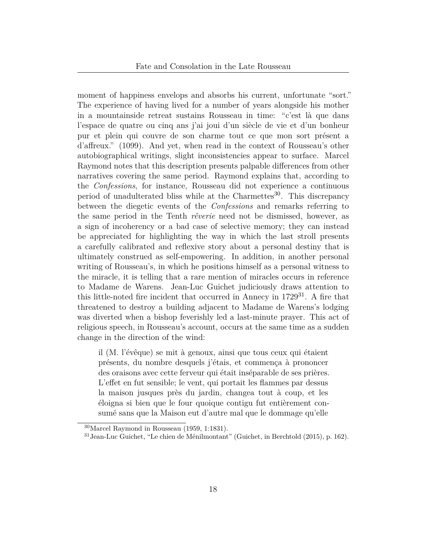moment of happiness envelops and absorbs his current, unfortunate "sort." The experience of having lived for a number of years alongside his mother in a mountainside retreat sustains Rousseau in time: "c'est là que dans l'espace de quatre ou cinq ans j'ai joui d'un siècle de vie et d'un bonheur pur et plein qui couvre de son charme tout ce que mon sort présent a d'affreux." (1099). And yet, when read in the context of Rousseau's other autobiographical writings, slight inconsistencies appear to surface. Marcel Raymond notes that this description presents palpable differences from other narratives covering the same period. Raymond explains that, according to the *Confessions*, for instance, Rousseau did not experience a continuous period of unadulterated bliss while at the Charmettes<sup>[30](#page-17-0)</sup>. This discrepancy between the diegetic events of the *Confessions* and remarks referring to the same period in the Tenth *rêverie* need not be dismissed, however, as a sign of incoherency or a bad case of selective memory; they can instead be appreciated for highlighting the way in which the last stroll presents a carefully calibrated and reflexive story about a personal destiny that is ultimately construed as self-empowering. In addition, in another personal writing of Rousseau's, in which he positions himself as a personal witness to the miracle, it is telling that a rare mention of miracles occurs in reference to Madame de Warens. Jean-Luc Guichet judiciously draws attention to this little-noted fire incident that occurred in Annecy in  $1729^{31}$  $1729^{31}$  $1729^{31}$ . A fire that threatened to destroy a building adjacent to Madame de Warens's lodging was diverted when a bishop feverishly led a last-minute prayer. This act of religious speech, in Rousseau's account, occurs at the same time as a sudden change in the direction of the wind:

il (M. l'évêque) se mit à genoux, ainsi que tous ceux qui étaient présents, du nombre desquels j'étais, et commença à prononcer des oraisons avec cette ferveur qui était inséparable de ses prières. L'effet en fut sensible; le vent, qui portait les flammes par dessus la maison jusques près du jardin, changea tout à coup, et les éloigna si bien que le four quoique contigu fut entièrement consumé sans que la Maison eut d'autre mal que le dommage qu'elle

<span id="page-17-0"></span><sup>30</sup>Marcel Raymond in Rousseau [\(1959](#page-21-0), 1:1831).

<span id="page-17-1"></span> $31$ Jean-Luc Guichet, "Le chien de Ménilmontant" (Guichet, in Berchtold ([2015](#page-18-4)), p. 162).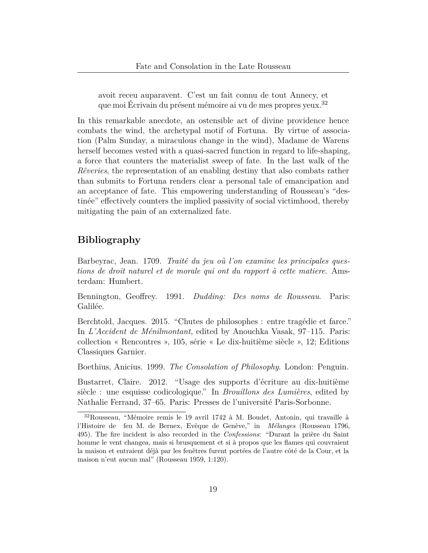avoit receu auparavent. C'est un fait connu de tout Annecy, et que moi Écrivain du présent mémoire ai vu de mes propres yeux.[32](#page-18-5)

In this remarkable anecdote, an ostensible act of divine providence hence combats the wind, the archetypal motif of Fortuna. By virtue of association (Palm Sunday, a miraculous change in the wind), Madame de Warens herself becomes vested with a quasi-sacred function in regard to life-shaping, a force that counters the materialist sweep of fate. In the last walk of the *Rêveries*, the representation of an enabling destiny that also combats rather than submits to Fortuna renders clear a personal tale of emancipation and an acceptance of fate. This empowering understanding of Rousseau's "destinée" effectively counters the implied passivity of social victimhood, thereby mitigating the pain of an externalized fate.

## **Bibliography**

<span id="page-18-3"></span>Barbeyrac, Jean. 1709. *Traité du jeu où l'on examine les principales questions de droit naturel et de morale qui ont du rapport à cette matiere*. Amsterdam: Humbert.

<span id="page-18-1"></span>Bennington, Geoffrey. 1991. *Dudding: Des noms de Rousseau*. Paris: Galilée.

<span id="page-18-4"></span>Berchtold, Jacques. 2015. "Chutes de philosophes : entre tragédie et farce." In *L'Accident de Ménilmontant*, edited by Anouchka Vasak, 97–115. Paris: collection « Rencontres », 105, série « Le dix-huitième siècle », 12; Editions Classiques Garnier.

<span id="page-18-0"></span>Boethius, Anicius. 1999. *The Consolation of Philosophy*. London: Penguin.

<span id="page-18-2"></span>Bustarret, Claire. 2012. "Usage des supports d'écriture au dix-huitième siècle : une esquisse codicologique." In *Brouillons des Lumières*, edited by Nathalie Ferrand, 37–65. Paris: Presses de l'université Paris-Sorbonne.

<span id="page-18-5"></span><sup>32</sup>Rousseau, "Mémoire remis le 19 avril 1742 à M. Boudet, Antonin, qui travaille à l'Histoire de feu M. de Bernex, Evêque de Genève," in *Mélanges* (Rousseau [1796](#page-21-8), 495). The fire incident is also recorded in the *Confessions*: "Durant la prière du Saint homme le vent changea, mais si brusquement et si à propos que les flames qui couvraient la maison et entraient déjà par les fenêtres furent portées de l'autre côté de la Cour, et la maison n'eut aucun mal" (Rousseau [1959](#page-21-0), 1:120).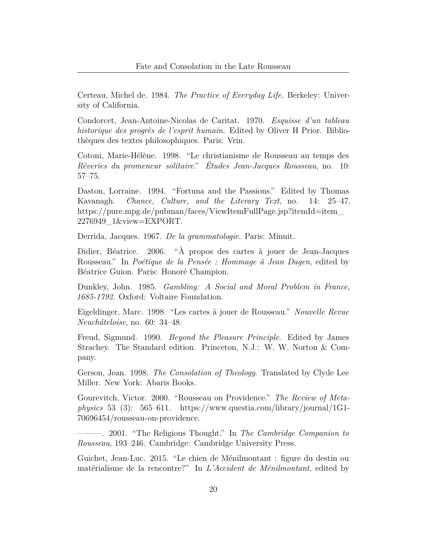<span id="page-19-7"></span>Certeau, Michel de. 1984. *The Practice of Everyday Life*. Berkeley: University of California.

<span id="page-19-9"></span>Condorcet, Jean-Antoine-Nicolas de Caritat. 1970. *Esquisse d'un tableau historique des progrès de l'esprit humain*. Edited by Oliver H Prior. Bibliothèques des textes philosophiques. Paris: Vrin.

<span id="page-19-2"></span>Cotoni, Marie-Hélène. 1998. "Le christianisme de Rousseau au temps des *Rêveries du promeneur solitaire*." *Études Jean-Jacques Rousseau*, no. 10: 57–75.

<span id="page-19-6"></span>Daston, Lorraine. 1994. "Fortuna and the Passions." Edited by Thomas Kavanagh. *Chance, Culture, and the Literary Text*, no. 14: 25–47. [https://pure.mpg.de/pubman/faces/ViewItemFullPage.jsp?itemId=item\\_](https://pure.mpg.de/pubman/faces/ViewItemFullPage.jsp?itemId=item_2276949_1&view=EXPORT) [2276949\\_1&view=EXPORT](https://pure.mpg.de/pubman/faces/ViewItemFullPage.jsp?itemId=item_2276949_1&view=EXPORT).

<span id="page-19-3"></span>Derrida, Jacques. 1967. *De la grammatologie*. Paris: Minuit.

<span id="page-19-4"></span>Didier, Béatrice. 2006. "À propos des cartes à jouer de Jean-Jacques Rousseau." In *Poétique de la Pensée ; Hommage à Jean Dagen*, edited by Béatrice Guion. Paris: Honoré Champion.

<span id="page-19-8"></span>Dunkley, John. 1985. *Gambling: A Social and Moral Problem in France, 1685-1792*. Oxford: Voltaire Foundation.

<span id="page-19-5"></span>Eigeldinger, Marc. 1998. "Les cartes à jouer de Rousseau." *Nouvelle Revue Neuchâteloise*, no. 60: 34–48.

<span id="page-19-0"></span>Freud, Sigmund. 1990. *Beyond the Pleasure Principle*. Edited by James Strachey. The Standard edition. Princeton, N.J.: W. W. Norton & Company.

Gerson, Jean. 1998. *The Consolation of Theology*. Translated by Clyde Lee Miller. New York: Abaris Books.

<span id="page-19-1"></span>Gourevitch, Victor. 2000. "Rousseau on Providence." *The Review of Metaphysics* 53 (3): 565–611. [https://www.questia.com/library/journal/1G1-](https://www.questia.com/library/journal/1G1-70696454/rousseau-on-providence) [70696454/rousseau-on-providence](https://www.questia.com/library/journal/1G1-70696454/rousseau-on-providence).

———. 2001. "The Religious Thought." In *The Cambridge Companion to Rousseau*, 193–246. Cambridge: Cambridge University Press.

Guichet, Jean-Luc. 2015. "Le chien de Ménilmontant : figure du destin ou matérialisme de la rencontre?" In *L'Accident de Ménilmontant*, edited by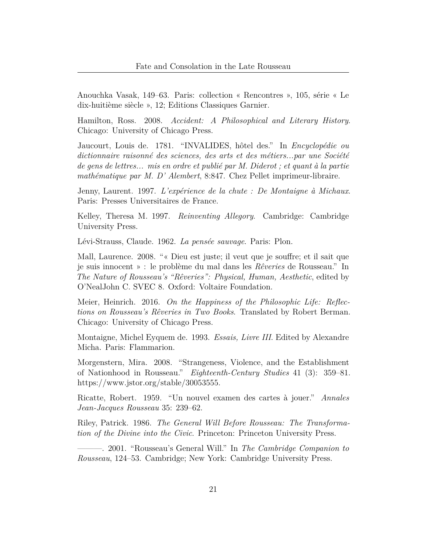Anouchka Vasak, 149–63. Paris: collection « Rencontres », 105, série « Le dix-huitième siècle », 12; Editions Classiques Garnier.

<span id="page-20-11"></span>Hamilton, Ross. 2008. *Accident: A Philosophical and Literary History*. Chicago: University of Chicago Press.

<span id="page-20-7"></span>Jaucourt, Louis de. 1781. "INVALIDES, hôtel des." In *Encyclopédie ou dictionnaire raisonné des sciences, des arts et des métiers...par une Société de gens de lettres... mis en ordre et publié par M. Diderot ; et quant à la partie mathématique par M. D' Alembert*, 8:847. Chez Pellet imprimeur-libraire.

<span id="page-20-10"></span>Jenny, Laurent. 1997. *L'expérience de la chute : De Montaigne à Michaux*. Paris: Presses Universitaires de France.

<span id="page-20-0"></span>Kelley, Theresa M. 1997. *Reinventing Allegory*. Cambridge: Cambridge University Press.

<span id="page-20-9"></span>Lévi-Strauss, Claude. 1962. *La pensée sauvage*. Paris: Plon.

<span id="page-20-8"></span>Mall, Laurence. 2008. "« Dieu est juste; il veut que je souffre; et il sait que je suis innocent » : le problème du mal dans les *Rêveries* de Rousseau." In *The Nature of Rousseau's "Rêveries": Physical, Human, Aesthetic*, edited by O'NealJohn C. SVEC 8. Oxford: Voltaire Foundation.

<span id="page-20-1"></span>Meier, Heinrich. 2016. *On the Happiness of the Philosophic Life: Reflections on Rousseau's Rêveries in Two Books*. Translated by Robert Berman. Chicago: University of Chicago Press.

<span id="page-20-6"></span>Montaigne, Michel Eyquem de. 1993. *Essais, Livre III*. Edited by Alexandre Micha. Paris: Flammarion.

<span id="page-20-4"></span>Morgenstern, Mira. 2008. "Strangeness, Violence, and the Establishment of Nationhood in Rousseau." *Eighteenth-Century Studies* 41 (3): 359–81. <https://www.jstor.org/stable/30053555>.

<span id="page-20-5"></span>Ricatte, Robert. 1959. "Un nouvel examen des cartes à jouer." *Annales Jean-Jacques Rousseau* 35: 239–62.

<span id="page-20-2"></span>Riley, Patrick. 1986. *The General Will Before Rousseau: The Transformation of the Divine into the Civic*. Princeton: Princeton University Press.

<span id="page-20-3"></span>———. 2001. "Rousseau's General Will." In *The Cambridge Companion to Rousseau*, 124–53. Cambridge; New York: Cambridge University Press.